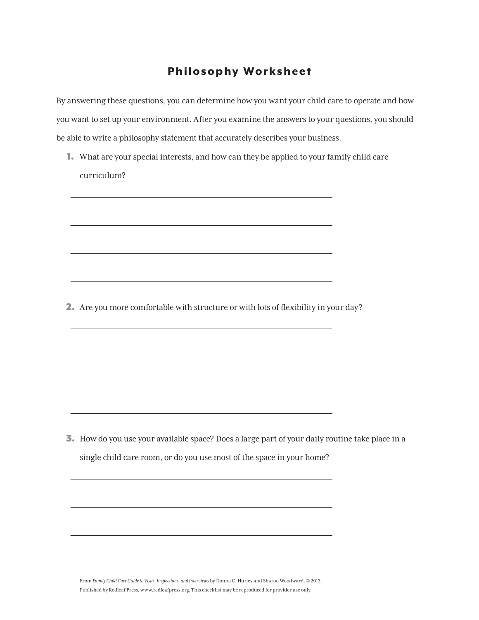## Philosophy Worksheet

By answering these questions, you can determine how you want your child care to operate and how you want to set up your environment. After you examine the answers to your questions, you should be able to write a philosophy statement that accurately describes your business.

1. What are your special interests, and how can they be applied to your family child care curriculum?

\_\_\_\_\_\_\_\_\_\_\_\_\_\_\_\_\_\_\_\_\_\_\_\_\_\_\_\_\_\_\_\_\_\_\_\_\_\_\_\_\_\_\_\_\_\_\_\_\_\_\_\_\_\_\_\_\_\_\_\_\_\_\_\_\_\_\_\_\_\_\_\_\_\_\_\_\_\_\_\_\_\_\_\_\_\_\_\_\_\_\_

\_\_\_\_\_\_\_\_\_\_\_\_\_\_\_\_\_\_\_\_\_\_\_\_\_\_\_\_\_\_\_\_\_\_\_\_\_\_\_\_\_\_\_\_\_\_\_\_\_\_\_\_\_\_\_\_\_\_\_\_\_\_\_\_\_\_\_\_\_\_\_\_\_\_\_\_\_\_\_\_\_\_\_\_\_\_\_\_\_\_\_

\_\_\_\_\_\_\_\_\_\_\_\_\_\_\_\_\_\_\_\_\_\_\_\_\_\_\_\_\_\_\_\_\_\_\_\_\_\_\_\_\_\_\_\_\_\_\_\_\_\_\_\_\_\_\_\_\_\_\_\_\_\_\_\_\_\_\_\_\_\_\_\_\_\_\_\_\_\_\_\_\_\_\_\_\_\_\_\_\_\_\_

\_\_\_\_\_\_\_\_\_\_\_\_\_\_\_\_\_\_\_\_\_\_\_\_\_\_\_\_\_\_\_\_\_\_\_\_\_\_\_\_\_\_\_\_\_\_\_\_\_\_\_\_\_\_\_\_\_\_\_\_\_\_\_\_\_\_\_\_\_\_\_\_\_\_\_\_\_\_\_\_\_\_\_\_\_\_\_\_\_\_\_

\_\_\_\_\_\_\_\_\_\_\_\_\_\_\_\_\_\_\_\_\_\_\_\_\_\_\_\_\_\_\_\_\_\_\_\_\_\_\_\_\_\_\_\_\_\_\_\_\_\_\_\_\_\_\_\_\_\_\_\_\_\_\_\_\_\_\_\_\_\_\_\_\_\_\_\_\_\_\_\_\_\_\_\_\_\_\_\_\_\_\_

\_\_\_\_\_\_\_\_\_\_\_\_\_\_\_\_\_\_\_\_\_\_\_\_\_\_\_\_\_\_\_\_\_\_\_\_\_\_\_\_\_\_\_\_\_\_\_\_\_\_\_\_\_\_\_\_\_\_\_\_\_\_\_\_\_\_\_\_\_\_\_\_\_\_\_\_\_\_\_\_\_\_\_\_\_\_\_\_\_\_\_

\_\_\_\_\_\_\_\_\_\_\_\_\_\_\_\_\_\_\_\_\_\_\_\_\_\_\_\_\_\_\_\_\_\_\_\_\_\_\_\_\_\_\_\_\_\_\_\_\_\_\_\_\_\_\_\_\_\_\_\_\_\_\_\_\_\_\_\_\_\_\_\_\_\_\_\_\_\_\_\_\_\_\_\_\_\_\_\_\_\_\_

\_\_\_\_\_\_\_\_\_\_\_\_\_\_\_\_\_\_\_\_\_\_\_\_\_\_\_\_\_\_\_\_\_\_\_\_\_\_\_\_\_\_\_\_\_\_\_\_\_\_\_\_\_\_\_\_\_\_\_\_\_\_\_\_\_\_\_\_\_\_\_\_\_\_\_\_\_\_\_\_\_\_\_\_\_\_\_\_\_\_\_

\_\_\_\_\_\_\_\_\_\_\_\_\_\_\_\_\_\_\_\_\_\_\_\_\_\_\_\_\_\_\_\_\_\_\_\_\_\_\_\_\_\_\_\_\_\_\_\_\_\_\_\_\_\_\_\_\_\_\_\_\_\_\_\_\_\_\_\_\_\_\_\_\_\_\_\_\_\_\_\_\_\_\_\_\_\_\_\_\_\_\_

\_\_\_\_\_\_\_\_\_\_\_\_\_\_\_\_\_\_\_\_\_\_\_\_\_\_\_\_\_\_\_\_\_\_\_\_\_\_\_\_\_\_\_\_\_\_\_\_\_\_\_\_\_\_\_\_\_\_\_\_\_\_\_\_\_\_\_\_\_\_\_\_\_\_\_\_\_\_\_\_\_\_\_\_\_\_\_\_\_\_\_

\_\_\_\_\_\_\_\_\_\_\_\_\_\_\_\_\_\_\_\_\_\_\_\_\_\_\_\_\_\_\_\_\_\_\_\_\_\_\_\_\_\_\_\_\_\_\_\_\_\_\_\_\_\_\_\_\_\_\_\_\_\_\_\_\_\_\_\_\_\_\_\_\_\_\_\_\_\_\_\_\_\_\_\_\_\_\_\_\_\_\_

2. Are you more comfortable with structure or with lots of flexibility in your day?

3. How do you use your available space? Does a large part of your daily routine take place in a single child care room, or do you use most of the space in your home?

From *Family Child Care Guide to Visits, Inspections, and Interviews* by Donna C. Hurley and Sharon Woodward, © 2013. Published by Redleaf Press, www.redleafpress.org. This checklist may be reproduced for provider use only.